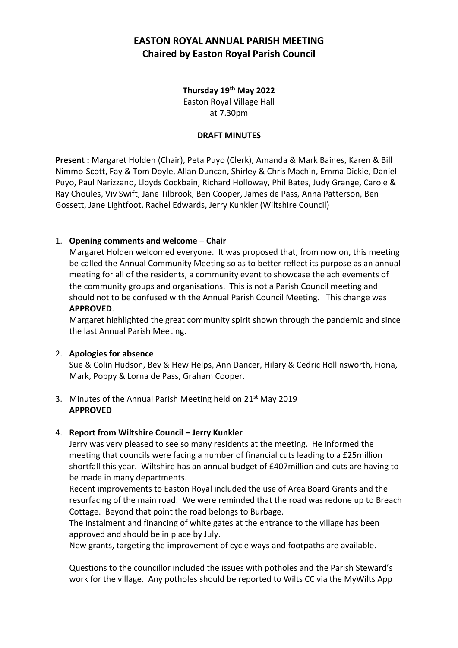## **Thursday 19th May 2022** Easton Royal Village Hall at 7.30pm

#### **DRAFT MINUTES**

**Present :** Margaret Holden (Chair), Peta Puyo (Clerk), Amanda & Mark Baines, Karen & Bill Nimmo-Scott, Fay & Tom Doyle, Allan Duncan, Shirley & Chris Machin, Emma Dickie, Daniel Puyo, Paul Narizzano, Lloyds Cockbain, Richard Holloway, Phil Bates, Judy Grange, Carole & Ray Choules, Viv Swift, Jane Tilbrook, Ben Cooper, James de Pass, Anna Patterson, Ben Gossett, Jane Lightfoot, Rachel Edwards, Jerry Kunkler (Wiltshire Council)

#### 1. **Opening comments and welcome – Chair**

Margaret Holden welcomed everyone. It was proposed that, from now on, this meeting be called the Annual Community Meeting so as to better reflect its purpose as an annual meeting for all of the residents, a community event to showcase the achievements of the community groups and organisations. This is not a Parish Council meeting and should not to be confused with the Annual Parish Council Meeting. This change was **APPROVED**.

Margaret highlighted the great community spirit shown through the pandemic and since the last Annual Parish Meeting.

#### 2. **Apologies for absence**

Sue & Colin Hudson, Bev & Hew Helps, Ann Dancer, Hilary & Cedric Hollinsworth, Fiona, Mark, Poppy & Lorna de Pass, Graham Cooper.

3. Minutes of the Annual Parish Meeting held on 21<sup>st</sup> May 2019 **APPROVED**

#### 4. **Report from Wiltshire Council – Jerry Kunkler**

Jerry was very pleased to see so many residents at the meeting. He informed the meeting that councils were facing a number of financial cuts leading to a £25million shortfall this year. Wiltshire has an annual budget of £407million and cuts are having to be made in many departments.

Recent improvements to Easton Royal included the use of Area Board Grants and the resurfacing of the main road. We were reminded that the road was redone up to Breach Cottage. Beyond that point the road belongs to Burbage.

The instalment and financing of white gates at the entrance to the village has been approved and should be in place by July.

New grants, targeting the improvement of cycle ways and footpaths are available.

Questions to the councillor included the issues with potholes and the Parish Steward's work for the village. Any potholes should be reported to Wilts CC via the MyWilts App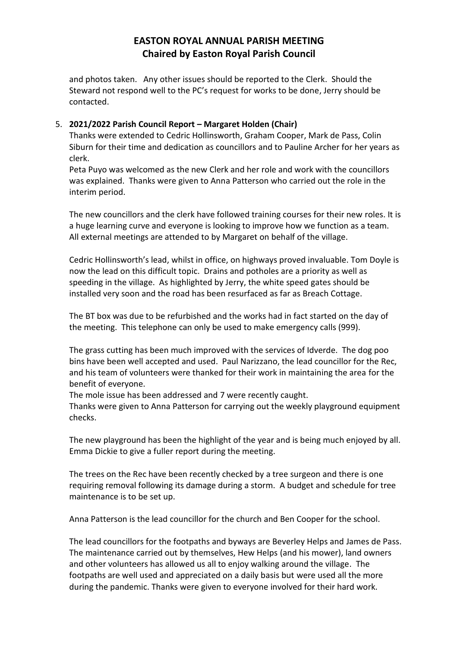and photos taken. Any other issues should be reported to the Clerk. Should the Steward not respond well to the PC's request for works to be done, Jerry should be contacted.

## 5. **2021/2022 Parish Council Report – Margaret Holden (Chair)**

Thanks were extended to Cedric Hollinsworth, Graham Cooper, Mark de Pass, Colin Siburn for their time and dedication as councillors and to Pauline Archer for her years as clerk.

Peta Puyo was welcomed as the new Clerk and her role and work with the councillors was explained. Thanks were given to Anna Patterson who carried out the role in the interim period.

The new councillors and the clerk have followed training courses for their new roles. It is a huge learning curve and everyone is looking to improve how we function as a team. All external meetings are attended to by Margaret on behalf of the village.

Cedric Hollinsworth's lead, whilst in office, on highways proved invaluable. Tom Doyle is now the lead on this difficult topic. Drains and potholes are a priority as well as speeding in the village. As highlighted by Jerry, the white speed gates should be installed very soon and the road has been resurfaced as far as Breach Cottage.

The BT box was due to be refurbished and the works had in fact started on the day of the meeting. This telephone can only be used to make emergency calls (999).

The grass cutting has been much improved with the services of Idverde. The dog poo bins have been well accepted and used. Paul Narizzano, the lead councillor for the Rec, and his team of volunteers were thanked for their work in maintaining the area for the benefit of everyone.

The mole issue has been addressed and 7 were recently caught.

Thanks were given to Anna Patterson for carrying out the weekly playground equipment checks.

The new playground has been the highlight of the year and is being much enjoyed by all. Emma Dickie to give a fuller report during the meeting.

The trees on the Rec have been recently checked by a tree surgeon and there is one requiring removal following its damage during a storm. A budget and schedule for tree maintenance is to be set up.

Anna Patterson is the lead councillor for the church and Ben Cooper for the school.

The lead councillors for the footpaths and byways are Beverley Helps and James de Pass. The maintenance carried out by themselves, Hew Helps (and his mower), land owners and other volunteers has allowed us all to enjoy walking around the village. The footpaths are well used and appreciated on a daily basis but were used all the more during the pandemic. Thanks were given to everyone involved for their hard work.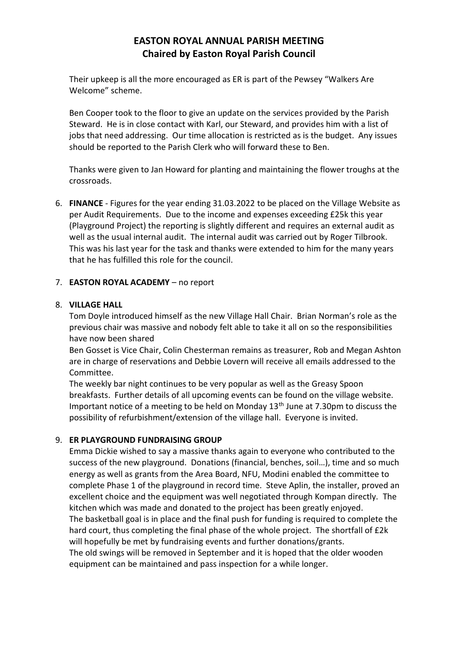Their upkeep is all the more encouraged as ER is part of the Pewsey "Walkers Are Welcome" scheme.

Ben Cooper took to the floor to give an update on the services provided by the Parish Steward. He is in close contact with Karl, our Steward, and provides him with a list of jobs that need addressing. Our time allocation is restricted as is the budget. Any issues should be reported to the Parish Clerk who will forward these to Ben.

Thanks were given to Jan Howard for planting and maintaining the flower troughs at the crossroads.

6. **FINANCE** - Figures for the year ending 31.03.2022 to be placed on the Village Website as per Audit Requirements. Due to the income and expenses exceeding £25k this year (Playground Project) the reporting is slightly different and requires an external audit as well as the usual internal audit. The internal audit was carried out by Roger Tilbrook. This was his last year for the task and thanks were extended to him for the many years that he has fulfilled this role for the council.

### 7. **EASTON ROYAL ACADEMY** – no report

#### 8. **VILLAGE HALL**

Tom Doyle introduced himself as the new Village Hall Chair. Brian Norman's role as the previous chair was massive and nobody felt able to take it all on so the responsibilities have now been shared

Ben Gosset is Vice Chair, Colin Chesterman remains as treasurer, Rob and Megan Ashton are in charge of reservations and Debbie Lovern will receive all emails addressed to the Committee.

The weekly bar night continues to be very popular as well as the Greasy Spoon breakfasts. Further details of all upcoming events can be found on the village website. Important notice of a meeting to be held on Monday  $13<sup>th</sup>$  June at 7.30pm to discuss the possibility of refurbishment/extension of the village hall. Everyone is invited.

## 9. **ER PLAYGROUND FUNDRAISING GROUP**

Emma Dickie wished to say a massive thanks again to everyone who contributed to the success of the new playground. Donations (financial, benches, soil…), time and so much energy as well as grants from the Area Board, NFU, Modini enabled the committee to complete Phase 1 of the playground in record time. Steve Aplin, the installer, proved an excellent choice and the equipment was well negotiated through Kompan directly. The kitchen which was made and donated to the project has been greatly enjoyed. The basketball goal is in place and the final push for funding is required to complete the hard court, thus completing the final phase of the whole project. The shortfall of £2k will hopefully be met by fundraising events and further donations/grants. The old swings will be removed in September and it is hoped that the older wooden equipment can be maintained and pass inspection for a while longer.